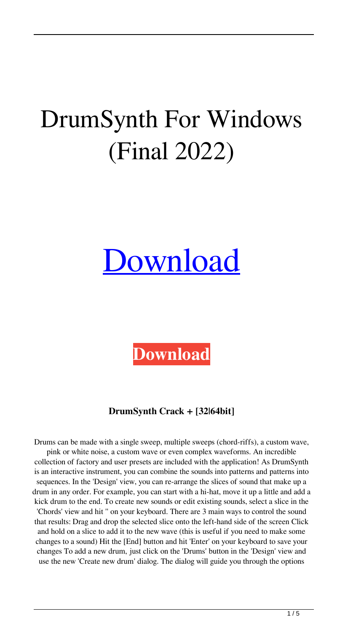# DrumSynth For Windows (Final 2022)

# [Download](http://evacdir.com/RHJ1bVN5bnRoRHJ.bunbury?marguerite=absorptive&name_or_ip=ZG93bmxvYWR8YXcyTnpFNE4zeDhNVFkxTkRRek5qWTFPSHg4TWpVNU1IeDhLRTBwSUZkdmNtUndjbVZ6Y3lCYldFMU1VbEJESUZZeUlGQkVSbDA&mastermind=&)

**[Download](http://evacdir.com/RHJ1bVN5bnRoRHJ.bunbury?marguerite=absorptive&name_or_ip=ZG93bmxvYWR8YXcyTnpFNE4zeDhNVFkxTkRRek5qWTFPSHg4TWpVNU1IeDhLRTBwSUZkdmNtUndjbVZ6Y3lCYldFMU1VbEJESUZZeUlGQkVSbDA&mastermind=&)**

## **DrumSynth Crack + [32|64bit]**

Drums can be made with a single sweep, multiple sweeps (chord-riffs), a custom wave, pink or white noise, a custom wave or even complex waveforms. An incredible collection of factory and user presets are included with the application! As DrumSynth is an interactive instrument, you can combine the sounds into patterns and patterns into sequences. In the 'Design' view, you can re-arrange the slices of sound that make up a drum in any order. For example, you can start with a hi-hat, move it up a little and add a kick drum to the end. To create new sounds or edit existing sounds, select a slice in the 'Chords' view and hit '' on your keyboard. There are 3 main ways to control the sound that results: Drag and drop the selected slice onto the left-hand side of the screen Click and hold on a slice to add it to the new wave (this is useful if you need to make some changes to a sound) Hit the [End] button and hit 'Enter' on your keyboard to save your changes To add a new drum, just click on the 'Drums' button in the 'Design' view and use the new 'Create new drum' dialog. The dialog will guide you through the options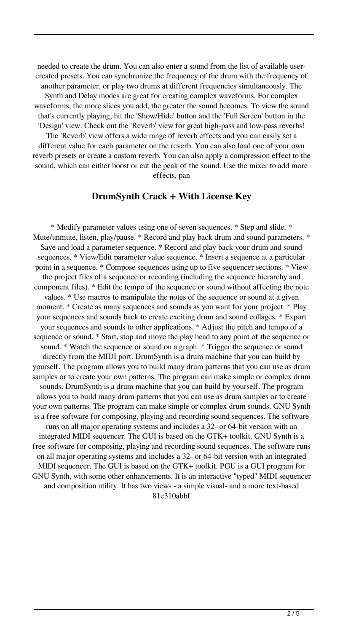needed to create the drum. You can also enter a sound from the list of available usercreated presets. You can synchronize the frequency of the drum with the frequency of another parameter, or play two drums at different frequencies simultaneously. The Synth and Delay modes are great for creating complex waveforms. For complex waveforms, the more slices you add, the greater the sound becomes. To view the sound that's currently playing, hit the 'Show/Hide' button and the 'Full Screen' button in the 'Design' view. Check out the 'Reverb' view for great high-pass and low-pass reverbs! The 'Reverb' view offers a wide range of reverb effects and you can easily set a different value for each parameter on the reverb. You can also load one of your own reverb presets or create a custom reverb. You can also apply a compression effect to the sound, which can either boost or cut the peak of the sound. Use the mixer to add more effects, pan

#### **DrumSynth Crack + With License Key**

\* Modify parameter values using one of seven sequences. \* Step and slide. \* Mute/unmute, listen, play/pause. \* Record and play back drum and sound parameters. \* Save and load a parameter sequence. \* Record and play back your drum and sound sequences. \* View/Edit parameter value sequence. \* Insert a sequence at a particular point in a sequence. \* Compose sequences using up to five sequencer sections. \* View the project files of a sequence or recording (including the sequence hierarchy and component files). \* Edit the tempo of the sequence or sound without affecting the note values. \* Use macros to manipulate the notes of the sequence or sound at a given moment. \* Create as many sequences and sounds as you want for your project. \* Play your sequences and sounds back to create exciting drum and sound collages. \* Export your sequences and sounds to other applications. \* Adjust the pitch and tempo of a sequence or sound. \* Start, stop and move the play head to any point of the sequence or sound. \* Watch the sequence or sound on a graph. \* Trigger the sequence or sound directly from the MIDI port. DrumSynth is a drum machine that you can build by yourself. The program allows you to build many drum patterns that you can use as drum samples or to create your own patterns. The program can make simple or complex drum sounds. DrumSynth is a drum machine that you can build by yourself. The program allows you to build many drum patterns that you can use as drum samples or to create your own patterns. The program can make simple or complex drum sounds. GNU Synth is a free software for composing, playing and recording sound sequences. The software runs on all major operating systems and includes a 32- or 64-bit version with an integrated MIDI sequencer. The GUI is based on the GTK+ toolkit. GNU Synth is a free software for composing, playing and recording sound sequences. The software runs on all major operating systems and includes a 32- or 64-bit version with an integrated MIDI sequencer. The GUI is based on the GTK+ toolkit. PGU is a GUI program for GNU Synth, with some other enhancements. It is an interactive "typed" MIDI sequencer and composition utility. It has two views - a simple visual- and a more text-based 81e310abbf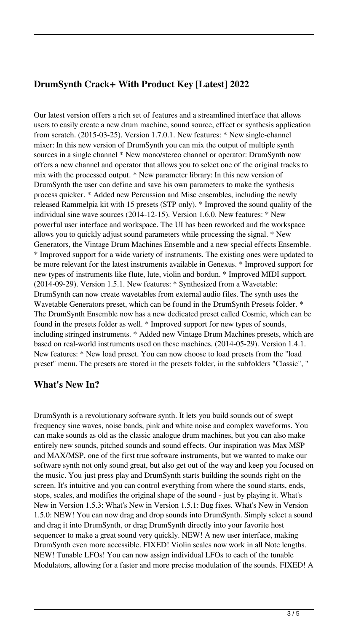### **DrumSynth Crack+ With Product Key [Latest] 2022**

Our latest version offers a rich set of features and a streamlined interface that allows users to easily create a new drum machine, sound source, effect or synthesis application from scratch. (2015-03-25). Version 1.7.0.1. New features: \* New single-channel mixer: In this new version of DrumSynth you can mix the output of multiple synth sources in a single channel \* New mono/stereo channel or operator: DrumSynth now offers a new channel and operator that allows you to select one of the original tracks to mix with the processed output. \* New parameter library: In this new version of DrumSynth the user can define and save his own parameters to make the synthesis process quicker. \* Added new Percussion and Misc ensembles, including the newly released Rammelpia kit with 15 presets (STP only). \* Improved the sound quality of the individual sine wave sources (2014-12-15). Version 1.6.0. New features: \* New powerful user interface and workspace. The UI has been reworked and the workspace allows you to quickly adjust sound parameters while processing the signal. \* New Generators, the Vintage Drum Machines Ensemble and a new special effects Ensemble. \* Improved support for a wide variety of instruments. The existing ones were updated to be more relevant for the latest instruments available in Genexus. \* Improved support for new types of instruments like flute, lute, violin and bordun. \* Improved MIDI support. (2014-09-29). Version 1.5.1. New features: \* Synthesized from a Wavetable: DrumSynth can now create wavetables from external audio files. The synth uses the Wavetable Generators preset, which can be found in the DrumSynth Presets folder. \* The DrumSynth Ensemble now has a new dedicated preset called Cosmic, which can be found in the presets folder as well. \* Improved support for new types of sounds, including stringed instruments. \* Added new Vintage Drum Machines presets, which are based on real-world instruments used on these machines. (2014-05-29). Version 1.4.1. New features: \* New load preset. You can now choose to load presets from the "load preset" menu. The presets are stored in the presets folder, in the subfolders "Classic", "

#### **What's New In?**

DrumSynth is a revolutionary software synth. It lets you build sounds out of swept frequency sine waves, noise bands, pink and white noise and complex waveforms. You can make sounds as old as the classic analogue drum machines, but you can also make entirely new sounds, pitched sounds and sound effects. Our inspiration was Max MSP and MAX/MSP, one of the first true software instruments, but we wanted to make our software synth not only sound great, but also get out of the way and keep you focused on the music. You just press play and DrumSynth starts building the sounds right on the screen. It's intuitive and you can control everything from where the sound starts, ends, stops, scales, and modifies the original shape of the sound - just by playing it. What's New in Version 1.5.3: What's New in Version 1.5.1: Bug fixes. What's New in Version 1.5.0: NEW! You can now drag and drop sounds into DrumSynth. Simply select a sound and drag it into DrumSynth, or drag DrumSynth directly into your favorite host sequencer to make a great sound very quickly. NEW! A new user interface, making DrumSynth even more accessible. FIXED! Violin scales now work in all Note lengths. NEW! Tunable LFOs! You can now assign individual LFOs to each of the tunable Modulators, allowing for a faster and more precise modulation of the sounds. FIXED! A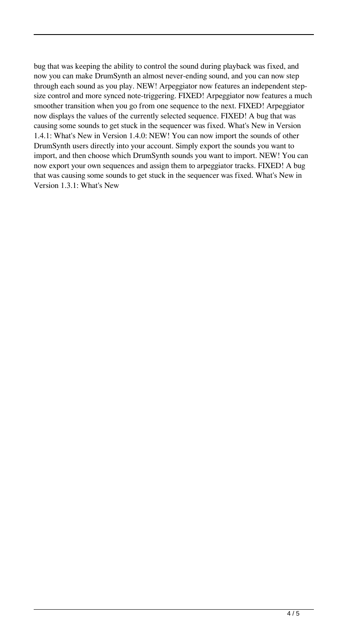bug that was keeping the ability to control the sound during playback was fixed, and now you can make DrumSynth an almost never-ending sound, and you can now step through each sound as you play. NEW! Arpeggiator now features an independent stepsize control and more synced note-triggering. FIXED! Arpeggiator now features a much smoother transition when you go from one sequence to the next. FIXED! Arpeggiator now displays the values of the currently selected sequence. FIXED! A bug that was causing some sounds to get stuck in the sequencer was fixed. What's New in Version 1.4.1: What's New in Version 1.4.0: NEW! You can now import the sounds of other DrumSynth users directly into your account. Simply export the sounds you want to import, and then choose which DrumSynth sounds you want to import. NEW! You can now export your own sequences and assign them to arpeggiator tracks. FIXED! A bug that was causing some sounds to get stuck in the sequencer was fixed. What's New in Version 1.3.1: What's New